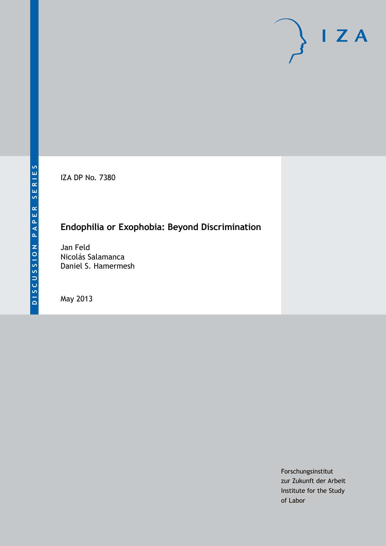IZA DP No. 7380

# **Endophilia or Exophobia: Beyond Discrimination**

Jan Feld Nicolás Salamanca Daniel S. Hamermesh

May 2013

Forschungsinstitut zur Zukunft der Arbeit Institute for the Study of Labor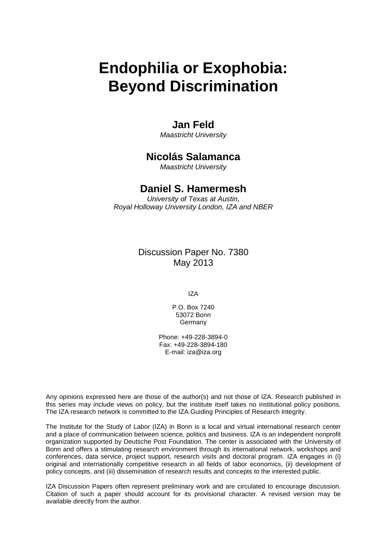# **Endophilia or Exophobia: Beyond Discrimination**

# **Jan Feld**

*Maastricht University*

## **Nicolás Salamanca**

*Maastricht University*

# **Daniel S. Hamermesh**

*University of Texas at Austin, Royal Holloway University London, IZA and NBER*

> Discussion Paper No. 7380 May 2013

> > IZA

P.O. Box 7240 53072 Bonn **Germany** 

Phone: +49-228-3894-0 Fax: +49-228-3894-180 E-mail: [iza@iza.org](mailto:iza@iza.org)

Any opinions expressed here are those of the author(s) and not those of IZA. Research published in this series may include views on policy, but the institute itself takes no institutional policy positions. The IZA research network is committed to the IZA Guiding Principles of Research Integrity.

The Institute for the Study of Labor (IZA) in Bonn is a local and virtual international research center and a place of communication between science, politics and business. IZA is an independent nonprofit organization supported by Deutsche Post Foundation. The center is associated with the University of Bonn and offers a stimulating research environment through its international network, workshops and conferences, data service, project support, research visits and doctoral program. IZA engages in (i) original and internationally competitive research in all fields of labor economics, (ii) development of policy concepts, and (iii) dissemination of research results and concepts to the interested public.

<span id="page-1-0"></span>IZA Discussion Papers often represent preliminary work and are circulated to encourage discussion. Citation of such a paper should account for its provisional character. A revised version may be available directly from the author.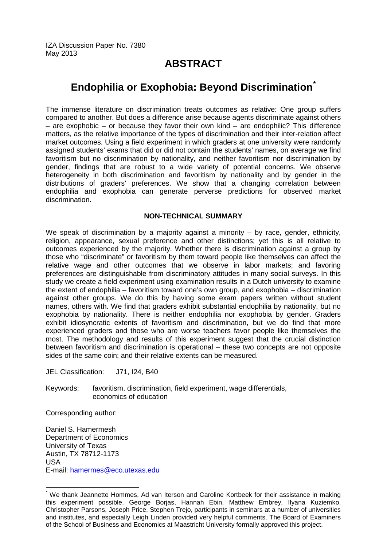# **ABSTRACT**

# **Endophilia or Exophobia: Beyond Discrimination[\\*](#page-1-0)**

The immense literature on discrimination treats outcomes as relative: One group suffers compared to another. But does a difference arise because agents discriminate against others – are exophobic – or because they favor their own kind – are endophilic? This difference matters, as the relative importance of the types of discrimination and their inter-relation affect market outcomes. Using a field experiment in which graders at one university were randomly assigned students' exams that did or did not contain the students' names, on average we find favoritism but no discrimination by nationality, and neither favoritism nor discrimination by gender, findings that are robust to a wide variety of potential concerns. We observe heterogeneity in both discrimination and favoritism by nationality and by gender in the distributions of graders' preferences. We show that a changing correlation between endophilia and exophobia can generate perverse predictions for observed market discrimination.

### **NON-TECHNICAL SUMMARY**

We speak of discrimination by a majority against a minority – by race, gender, ethnicity, religion, appearance, sexual preference and other distinctions; yet this is all relative to outcomes experienced by the majority. Whether there is discrimination against a group by those who "discriminate" or favoritism by them toward people like themselves can affect the relative wage and other outcomes that we observe in labor markets; and favoring preferences are distinguishable from discriminatory attitudes in many social surveys. In this study we create a field experiment using examination results in a Dutch university to examine the extent of endophilia – favoritism toward one's own group, and exophobia – discrimination against other groups. We do this by having some exam papers written without student names, others with. We find that graders exhibit substantial endophilia by nationality, but no exophobia by nationality. There is neither endophilia nor exophobia by gender. Graders exhibit idiosyncratic extents of favoritism and discrimination, but we do find that more experienced graders and those who are worse teachers favor people like themselves the most. The methodology and results of this experiment suggest that the crucial distinction between favoritism and discrimination is operational – these two concepts are not opposite sides of the same coin; and their relative extents can be measured.

JEL Classification: J71, I24, B40

Keywords: favoritism, discrimination, field experiment, wage differentials, economics of education

Corresponding author:

Daniel S. Hamermesh Department of Economics University of Texas Austin, TX 78712-1173 USA E-mail: [hamermes@eco.utexas.edu](mailto:hamermes@eco.utexas.edu)

We thank Jeannette Hommes, Ad van Iterson and Caroline Kortbeek for their assistance in making this experiment possible. George Borjas, Hannah Ebin, Matthew Embrey, Ilyana Kuziemko, Christopher Parsons, Joseph Price, Stephen Trejo, participants in seminars at a number of universities and institutes, and especially Leigh Linden provided very helpful comments. The Board of Examiners of the School of Business and Economics at Maastricht University formally approved this project.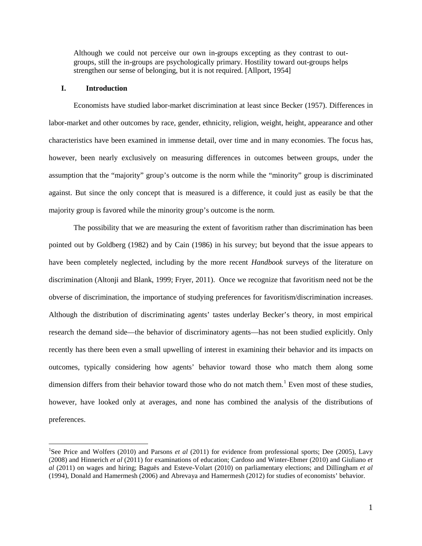Although we could not perceive our own in-groups excepting as they contrast to outgroups, still the in-groups are psychologically primary. Hostility toward out-groups helps strengthen our sense of belonging, but it is not required. [Allport, 1954]

#### **I. Introduction**

Economists have studied labor-market discrimination at least since Becker (1957). Differences in labor-market and other outcomes by race, gender, ethnicity, religion, weight, height, appearance and other characteristics have been examined in immense detail, over time and in many economies. The focus has, however, been nearly exclusively on measuring differences in outcomes between groups, under the assumption that the "majority" group's outcome is the norm while the "minority" group is discriminated against. But since the only concept that is measured is a difference, it could just as easily be that the majority group is favored while the minority group's outcome is the norm.

The possibility that we are measuring the extent of favoritism rather than discrimination has been pointed out by Goldberg (1982) and by Cain (1986) in his survey; but beyond that the issue appears to have been completely neglected, including by the more recent *Handbook* surveys of the literature on discrimination (Altonji and Blank, 1999; Fryer, 2011). Once we recognize that favoritism need not be the obverse of discrimination, the importance of studying preferences for favoritism/discrimination increases. Although the distribution of discriminating agents' tastes underlay Becker's theory, in most empirical research the demand side—the behavior of discriminatory agents—has not been studied explicitly. Only recently has there been even a small upwelling of interest in examining their behavior and its impacts on outcomes, typically considering how agents' behavior toward those who match them along some dimension differs from their behavior toward those who do not match them.<sup>[1](#page-3-0)</sup> Even most of these studies, however, have looked only at averages, and none has combined the analysis of the distributions of preferences.

<span id="page-3-0"></span> $\frac{1}{1}$ <sup>1</sup>See Price and Wolfers (2010) and Parsons *et al* (2011) for evidence from professional sports; Dee (2005), Lavy (2008) and Hinnerich *et al* (2011) for examinations of education; Cardoso and Winter-Ebmer (2010) and Giuliano *et al* (2011) on wages and hiring; Baguës and Esteve-Volart (2010) on parliamentary elections; and Dillingham *et al* (1994), Donald and Hamermesh (2006) and Abrevaya and Hamermesh (2012) for studies of economists' behavior.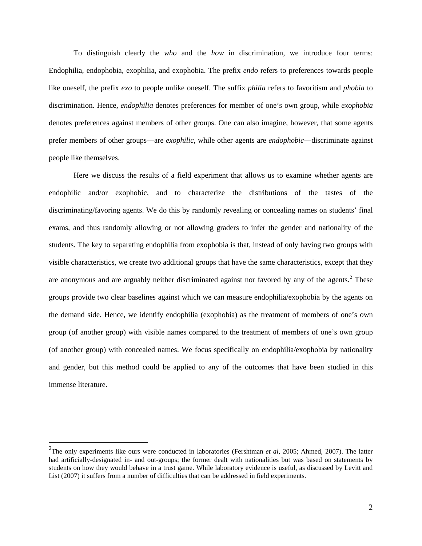To distinguish clearly the *who* and the *how* in discrimination, we introduce four terms: Endophilia, endophobia, exophilia, and exophobia. The prefix *endo* refers to preferences towards people like oneself, the prefix *exo* to people unlike oneself. The suffix *philia* refers to favoritism and *phobia* to discrimination. Hence, *endophilia* denotes preferences for member of one's own group, while *exophobia* denotes preferences against members of other groups. One can also imagine, however, that some agents prefer members of other groups—are *exophilic*, while other agents are *endophobic*—discriminate against people like themselves.

Here we discuss the results of a field experiment that allows us to examine whether agents are endophilic and/or exophobic, and to characterize the distributions of the tastes of the discriminating/favoring agents. We do this by randomly revealing or concealing names on students' final exams, and thus randomly allowing or not allowing graders to infer the gender and nationality of the students. The key to separating endophilia from exophobia is that, instead of only having two groups with visible characteristics, we create two additional groups that have the same characteristics, except that they are anonymous and are arguably neither discriminated against nor favored by any of the agents.<sup>[2](#page-4-0)</sup> These groups provide two clear baselines against which we can measure endophilia/exophobia by the agents on the demand side. Hence, we identify endophilia (exophobia) as the treatment of members of one's own group (of another group) with visible names compared to the treatment of members of one's own group (of another group) with concealed names. We focus specifically on endophilia/exophobia by nationality and gender, but this method could be applied to any of the outcomes that have been studied in this immense literature.

<span id="page-4-0"></span><sup>&</sup>lt;sup>2</sup>The only experiments like ours were conducted in laboratories (Fershtman *et al*, 2005; Ahmed, 2007). The latter had artificially-designated in- and out-groups; the former dealt with nationalities but was based on statements by students on how they would behave in a trust game. While laboratory evidence is useful, as discussed by Levitt and List (2007) it suffers from a number of difficulties that can be addressed in field experiments.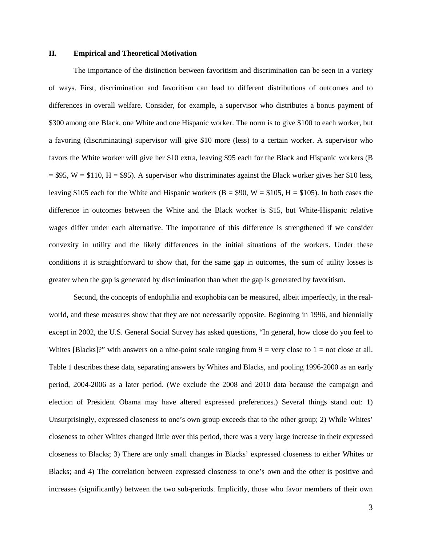#### **II. Empirical and Theoretical Motivation**

The importance of the distinction between favoritism and discrimination can be seen in a variety of ways. First, discrimination and favoritism can lead to different distributions of outcomes and to differences in overall welfare. Consider, for example, a supervisor who distributes a bonus payment of \$300 among one Black, one White and one Hispanic worker. The norm is to give \$100 to each worker, but a favoring (discriminating) supervisor will give \$10 more (less) to a certain worker. A supervisor who favors the White worker will give her \$10 extra, leaving \$95 each for the Black and Hispanic workers (B  $= $95$ , W  $= $110$ , H  $= $95$ ). A supervisor who discriminates against the Black worker gives her \$10 less, leaving \$105 each for the White and Hispanic workers ( $B = $90$ ,  $W = $105$ ,  $H = $105$ ). In both cases the difference in outcomes between the White and the Black worker is \$15, but White-Hispanic relative wages differ under each alternative. The importance of this difference is strengthened if we consider convexity in utility and the likely differences in the initial situations of the workers. Under these conditions it is straightforward to show that, for the same gap in outcomes, the sum of utility losses is greater when the gap is generated by discrimination than when the gap is generated by favoritism.

Second, the concepts of endophilia and exophobia can be measured, albeit imperfectly, in the realworld, and these measures show that they are not necessarily opposite. Beginning in 1996, and biennially except in 2002, the U.S. General Social Survey has asked questions, "In general, how close do you feel to Whites [Blacks]?" with answers on a nine-point scale ranging from  $9 =$  very close to  $1 =$  not close at all. Table 1 describes these data, separating answers by Whites and Blacks, and pooling 1996-2000 as an early period, 2004-2006 as a later period. (We exclude the 2008 and 2010 data because the campaign and election of President Obama may have altered expressed preferences.) Several things stand out: 1) Unsurprisingly, expressed closeness to one's own group exceeds that to the other group; 2) While Whites' closeness to other Whites changed little over this period, there was a very large increase in their expressed closeness to Blacks; 3) There are only small changes in Blacks' expressed closeness to either Whites or Blacks; and 4) The correlation between expressed closeness to one's own and the other is positive and increases (significantly) between the two sub-periods. Implicitly, those who favor members of their own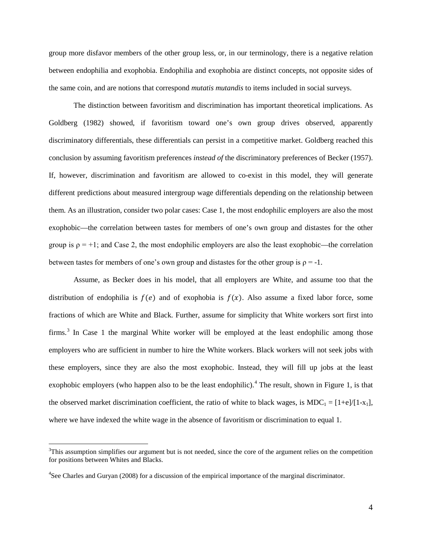group more disfavor members of the other group less, or, in our terminology, there is a negative relation between endophilia and exophobia. Endophilia and exophobia are distinct concepts, not opposite sides of the same coin, and are notions that correspond *mutatis mutandis* to items included in social surveys.

The distinction between favoritism and discrimination has important theoretical implications. As Goldberg (1982) showed, if favoritism toward one's own group drives observed, apparently discriminatory differentials, these differentials can persist in a competitive market. Goldberg reached this conclusion by assuming favoritism preferences *instead of* the discriminatory preferences of Becker (1957). If, however, discrimination and favoritism are allowed to co-exist in this model, they will generate different predictions about measured intergroup wage differentials depending on the relationship between them. As an illustration, consider two polar cases: Case 1, the most endophilic employers are also the most exophobic—the correlation between tastes for members of one's own group and distastes for the other group is  $\rho = +1$ ; and Case 2, the most endophilic employers are also the least exophobic—the correlation between tastes for members of one's own group and distastes for the other group is  $\rho = -1$ .

Assume, as Becker does in his model, that all employers are White, and assume too that the distribution of endophilia is  $f(e)$  and of exophobia is  $f(x)$ . Also assume a fixed labor force, some fractions of which are White and Black. Further, assume for simplicity that White workers sort first into firms.<sup>[3](#page-6-0)</sup> In Case 1 the marginal White worker will be employed at the least endophilic among those employers who are sufficient in number to hire the White workers. Black workers will not seek jobs with these employers, since they are also the most exophobic. Instead, they will fill up jobs at the least exophobic employers (who happen also to be the least endophilic).<sup>[4](#page-6-1)</sup> The result, shown in Figure 1, is that the observed market discrimination coefficient, the ratio of white to black wages, is MDC<sub>1</sub> = [1+e]/[1-x<sub>1</sub>], where we have indexed the white wage in the absence of favoritism or discrimination to equal 1.

<span id="page-6-0"></span> <sup>3</sup>  $T$ This assumption simplifies our argument but is not needed, since the core of the argument relies on the competition for positions between Whites and Blacks.

<span id="page-6-1"></span><sup>&</sup>lt;sup>4</sup>See Charles and Guryan (2008) for a discussion of the empirical importance of the marginal discriminator.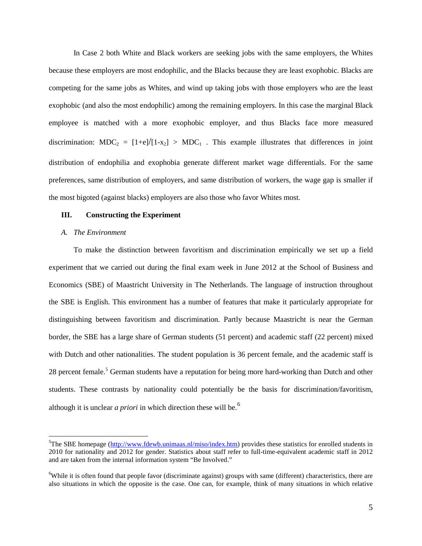In Case 2 both White and Black workers are seeking jobs with the same employers, the Whites because these employers are most endophilic, and the Blacks because they are least exophobic. Blacks are competing for the same jobs as Whites, and wind up taking jobs with those employers who are the least exophobic (and also the most endophilic) among the remaining employers. In this case the marginal Black employee is matched with a more exophobic employer, and thus Blacks face more measured discrimination:  $MDC_2 = [1+e]/[1-x_2] > MDC_1$ . This example illustrates that differences in joint distribution of endophilia and exophobia generate different market wage differentials. For the same preferences, same distribution of employers, and same distribution of workers, the wage gap is smaller if the most bigoted (against blacks) employers are also those who favor Whites most.

#### **III. Constructing the Experiment**

#### *A. The Environment*

To make the distinction between favoritism and discrimination empirically we set up a field experiment that we carried out during the final exam week in June 2012 at the School of Business and Economics (SBE) of Maastricht University in The Netherlands. The language of instruction throughout the SBE is English. This environment has a number of features that make it particularly appropriate for distinguishing between favoritism and discrimination. Partly because Maastricht is near the German border, the SBE has a large share of German students (51 percent) and academic staff (22 percent) mixed with Dutch and other nationalities. The student population is 36 percent female, and the academic staff is 28 percent female.<sup>[5](#page-7-0)</sup> German students have a reputation for being more hard-working than Dutch and other students. These contrasts by nationality could potentially be the basis for discrimination/favoritism, although it is unclear *a priori* in which direction these will be.<sup>[6](#page-7-1)</sup>

<span id="page-7-0"></span> <sup>5</sup> <sup>5</sup>The SBE homepage [\(http://www.fdewb.unimaas.nl/miso/index.htm\)](http://www.fdewb.unimaas.nl/miso/index.htm) provides these statistics for enrolled students in 2010 for nationality and 2012 for gender. Statistics about staff refer to full-time-equivalent academic staff in 2012 and are taken from the internal information system "Be Involved."

<span id="page-7-1"></span><sup>&</sup>lt;sup>6</sup>While it is often found that people favor (discriminate against) groups with same (different) characteristics, there are also situations in which the opposite is the case. One can, for example, think of many situations in which relative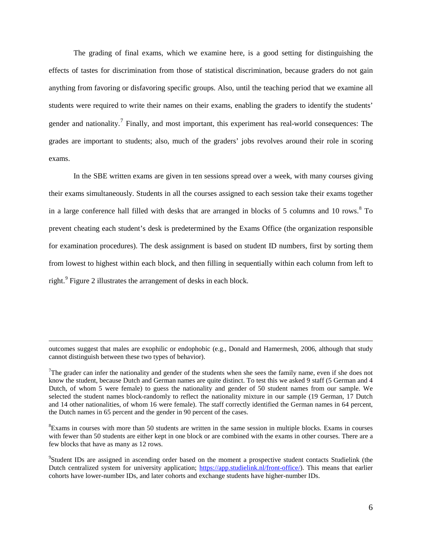The grading of final exams, which we examine here, is a good setting for distinguishing the effects of tastes for discrimination from those of statistical discrimination, because graders do not gain anything from favoring or disfavoring specific groups. Also, until the teaching period that we examine all students were required to write their names on their exams, enabling the graders to identify the students' gender and nationality.<sup>[7](#page-8-0)</sup> Finally, and most important, this experiment has real-world consequences: The grades are important to students; also, much of the graders' jobs revolves around their role in scoring exams.

In the SBE written exams are given in ten sessions spread over a week, with many courses giving their exams simultaneously. Students in all the courses assigned to each session take their exams together in a large conference hall filled with desks that are arranged in blocks of 5 columns and 10 rows.<sup>[8](#page-8-1)</sup> To prevent cheating each student's desk is predetermined by the Exams Office (the organization responsible for examination procedures). The desk assignment is based on student ID numbers, first by sorting them from lowest to highest within each block, and then filling in sequentially within each column from left to right.<sup>[9](#page-8-2)</sup> Figure 2 illustrates the arrangement of desks in each block.

 $\overline{a}$ 

outcomes suggest that males are exophilic or endophobic (e.g., Donald and Hamermesh, 2006, although that study cannot distinguish between these two types of behavior).

<span id="page-8-0"></span><sup>&</sup>lt;sup>7</sup>The grader can infer the nationality and gender of the students when she sees the family name, even if she does not know the student, because Dutch and German names are quite distinct. To test this we asked 9 staff (5 German and 4 Dutch, of whom 5 were female) to guess the nationality and gender of 50 student names from our sample. We selected the student names block-randomly to reflect the nationality mixture in our sample (19 German, 17 Dutch and 14 other nationalities, of whom 16 were female). The staff correctly identified the German names in 64 percent, the Dutch names in 65 percent and the gender in 90 percent of the cases.

<span id="page-8-1"></span><sup>&</sup>lt;sup>8</sup>Exams in courses with more than 50 students are written in the same session in multiple blocks. Exams in courses with fewer than 50 students are either kept in one block or are combined with the exams in other courses. There are a few blocks that have as many as 12 rows.

<span id="page-8-2"></span><sup>&</sup>lt;sup>9</sup>Student IDs are assigned in ascending order based on the moment a prospective student contacts Studielink (the Dutch centralized system for university application; [https://app.studielink.nl/front-office/\)](https://app.studielink.nl/front-office/). This means that earlier cohorts have lower-number IDs, and later cohorts and exchange students have higher-number IDs.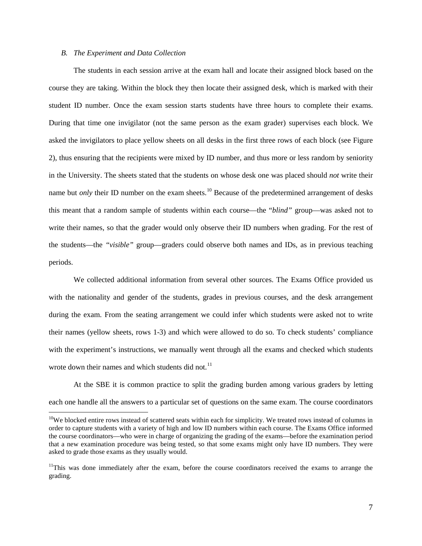#### *B. The Experiment and Data Collection*

The students in each session arrive at the exam hall and locate their assigned block based on the course they are taking. Within the block they then locate their assigned desk, which is marked with their student ID number. Once the exam session starts students have three hours to complete their exams. During that time one invigilator (not the same person as the exam grader) supervises each block. We asked the invigilators to place yellow sheets on all desks in the first three rows of each block (see Figure 2), thus ensuring that the recipients were mixed by ID number, and thus more or less random by seniority in the University. The sheets stated that the students on whose desk one was placed should *not* write their name but *only* their ID number on the exam sheets.<sup>[10](#page-9-0)</sup> Because of the predetermined arrangement of desks this meant that a random sample of students within each course—the "*blind"* group—was asked not to write their names, so that the grader would only observe their ID numbers when grading. For the rest of the students—the *"visible"* group—graders could observe both names and IDs, as in previous teaching periods.

We collected additional information from several other sources. The Exams Office provided us with the nationality and gender of the students, grades in previous courses, and the desk arrangement during the exam. From the seating arrangement we could infer which students were asked not to write their names (yellow sheets, rows 1-3) and which were allowed to do so. To check students' compliance with the experiment's instructions, we manually went through all the exams and checked which students wrote down their names and which students did not.<sup>[11](#page-9-1)</sup>

At the SBE it is common practice to split the grading burden among various graders by letting each one handle all the answers to a particular set of questions on the same exam. The course coordinators

<span id="page-9-0"></span><sup>&</sup>lt;sup>10</sup>We blocked entire rows instead of scattered seats within each for simplicity. We treated rows instead of columns in order to capture students with a variety of high and low ID numbers within each course. The Exams Office informed the course coordinators—who were in charge of organizing the grading of the exams—before the examination period that a new examination procedure was being tested, so that some exams might only have ID numbers. They were asked to grade those exams as they usually would.

<span id="page-9-1"></span><sup>&</sup>lt;sup>11</sup>This was done immediately after the exam, before the course coordinators received the exams to arrange the grading.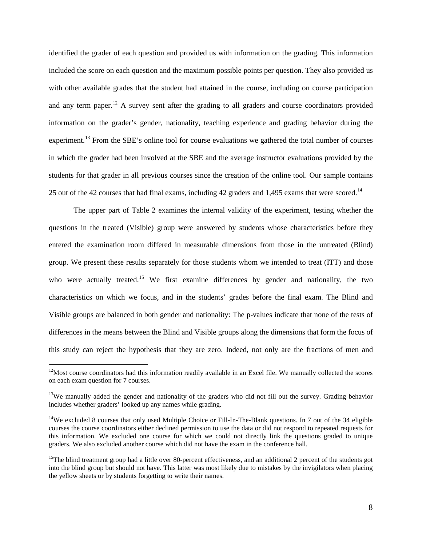identified the grader of each question and provided us with information on the grading. This information included the score on each question and the maximum possible points per question. They also provided us with other available grades that the student had attained in the course, including on course participation and any term paper.<sup>[12](#page-10-0)</sup> A survey sent after the grading to all graders and course coordinators provided information on the grader's gender, nationality, teaching experience and grading behavior during the experiment.<sup>[13](#page-10-1)</sup> From the SBE's online tool for course evaluations we gathered the total number of courses in which the grader had been involved at the SBE and the average instructor evaluations provided by the students for that grader in all previous courses since the creation of the online tool. Our sample contains 25 out of the 42 courses that had final exams, including 42 graders and 1,495 exams that were scored.<sup>[14](#page-10-2)</sup>

The upper part of Table 2 examines the internal validity of the experiment, testing whether the questions in the treated (Visible) group were answered by students whose characteristics before they entered the examination room differed in measurable dimensions from those in the untreated (Blind) group. We present these results separately for those students whom we intended to treat (ITT) and those who were actually treated.<sup>[15](#page-10-3)</sup> We first examine differences by gender and nationality, the two characteristics on which we focus, and in the students' grades before the final exam. The Blind and Visible groups are balanced in both gender and nationality: The p-values indicate that none of the tests of differences in the means between the Blind and Visible groups along the dimensions that form the focus of this study can reject the hypothesis that they are zero. Indeed, not only are the fractions of men and

<span id="page-10-0"></span> $12$ Most course coordinators had this information readily available in an Excel file. We manually collected the scores on each exam question for 7 courses.

<span id="page-10-1"></span><sup>&</sup>lt;sup>13</sup>We manually added the gender and nationality of the graders who did not fill out the survey. Grading behavior includes whether graders' looked up any names while grading.

<span id="page-10-2"></span><sup>&</sup>lt;sup>14</sup>We excluded 8 courses that only used Multiple Choice or Fill-In-The-Blank questions. In 7 out of the 34 eligible courses the course coordinators either declined permission to use the data or did not respond to repeated requests for this information. We excluded one course for which we could not directly link the questions graded to unique graders. We also excluded another course which did not have the exam in the conference hall.

<span id="page-10-3"></span> $15$ The blind treatment group had a little over 80-percent effectiveness, and an additional 2 percent of the students got into the blind group but should not have. This latter was most likely due to mistakes by the invigilators when placing the yellow sheets or by students forgetting to write their names.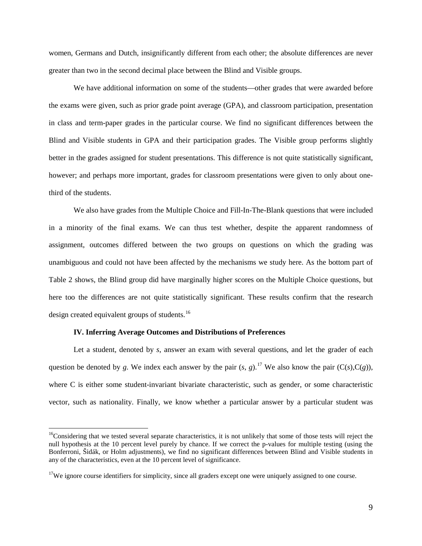women, Germans and Dutch, insignificantly different from each other; the absolute differences are never greater than two in the second decimal place between the Blind and Visible groups.

We have additional information on some of the students—other grades that were awarded before the exams were given, such as prior grade point average (GPA), and classroom participation, presentation in class and term-paper grades in the particular course. We find no significant differences between the Blind and Visible students in GPA and their participation grades. The Visible group performs slightly better in the grades assigned for student presentations. This difference is not quite statistically significant, however; and perhaps more important, grades for classroom presentations were given to only about onethird of the students.

We also have grades from the Multiple Choice and Fill-In-The-Blank questions that were included in a minority of the final exams. We can thus test whether, despite the apparent randomness of assignment, outcomes differed between the two groups on questions on which the grading was unambiguous and could not have been affected by the mechanisms we study here. As the bottom part of Table 2 shows, the Blind group did have marginally higher scores on the Multiple Choice questions, but here too the differences are not quite statistically significant. These results confirm that the research design created equivalent groups of students.<sup>[16](#page-11-0)</sup>

#### **IV. Inferring Average Outcomes and Distributions of Preferences**

Let a student, denoted by *s*, answer an exam with several questions, and let the grader of each question be denoted by *g*. We index each answer by the pair  $(s, g)$ .<sup>[17](#page-11-1)</sup> We also know the pair  $(C(s), C(g))$ , where C is either some student-invariant bivariate characteristic, such as gender, or some characteristic vector, such as nationality. Finally, we know whether a particular answer by a particular student was

<span id="page-11-0"></span> $16$ Considering that we tested several separate characteristics, it is not unlikely that some of those tests will reject the null hypothesis at the 10 percent level purely by chance. If we correct the p-values for multiple testing (using the Bonferroni, Šidák, or Holm adjustments), we find no significant differences between Blind and Visible students in any of the characteristics, even at the 10 percent level of significance.

<span id="page-11-1"></span> $17$ We ignore course identifiers for simplicity, since all graders except one were uniquely assigned to one course.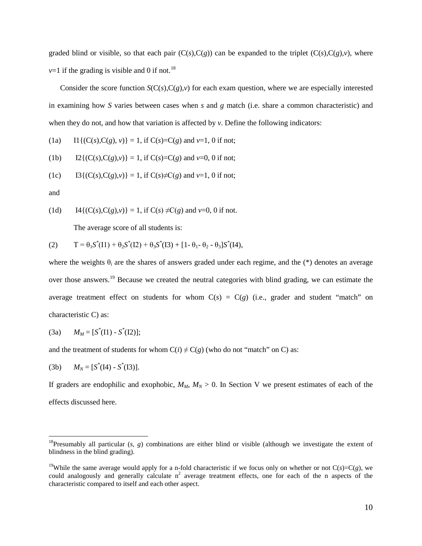graded blind or visible, so that each pair  $(C(s),C(g))$  can be expanded to the triplet  $(C(s),C(g),v)$ , where  $v=1$  if the grading is visible and 0 if not.<sup>[18](#page-12-0)</sup>

Consider the score function  $S(C(s),C(g),v)$  for each exam question, where we are especially interested in examining how *S* varies between cases when *s* and *g* match (i.e. share a common characteristic) and when they do not, and how that variation is affected by *v*. Define the following indicators:

(1a) 
$$
\Pi\{(C(s),C(g), v)\}=1
$$
, if  $C(s)=C(g)$  and  $v=1$ , 0 if not;

(1b) 
$$
I2\{(C(s),C(g),v)\}=1
$$
, if  $C(s)=C(g)$  and  $v=0$ , 0 if not;

(1c) 
$$
I3\{(C(s),C(g),v)\}=1, \text{ if } C(s)\neq C(g) \text{ and } v=1, 0 \text{ if not};
$$

and

(1d) I4{
$$
(C(s),C(g),v)
$$
} = 1, if  $C(s) \neq C(g)$  and  $v=0$ , 0 if not.

The average score of all students is:

(2) 
$$
T = \theta_1 S^*(I1) + \theta_2 S^*(I2) + \theta_3 S^*(I3) + [1 - \theta_1 - \theta_2 - \theta_3] S^*(I4),
$$

where the weights θ*<sup>i</sup>* are the shares of answers graded under each regime, and the (\*) denotes an average over those answers.<sup>[19](#page-12-1)</sup> Because we created the neutral categories with blind grading, we can estimate the average treatment effect on students for whom  $C(s) = C(g)$  (i.e., grader and student "match" on characteristic C) as:

(3a) 
$$
M_M = [S^*(I1) - S^*(I2)];
$$

and the treatment of students for whom  $C(i) \neq C(g)$  (who do not "match" on C) as:

(3b) 
$$
M_N = [S^*(14) - S^*(13)].
$$

If graders are endophilic and exophobic,  $M_M$ ,  $M_N > 0$ . In Section V we present estimates of each of the effects discussed here.

<span id="page-12-0"></span><sup>&</sup>lt;sup>18</sup>Presumably all particular  $(s, g)$  combinations are either blind or visible (although we investigate the extent of blindness in the blind grading).

<span id="page-12-1"></span><sup>&</sup>lt;sup>19</sup>While the same average would apply for a n-fold characteristic if we focus only on whether or not  $C(s)=C(g)$ , we could analogously and generally calculate  $n^2$  average treatment effects, one for each of the n aspects of the characteristic compared to itself and each other aspect.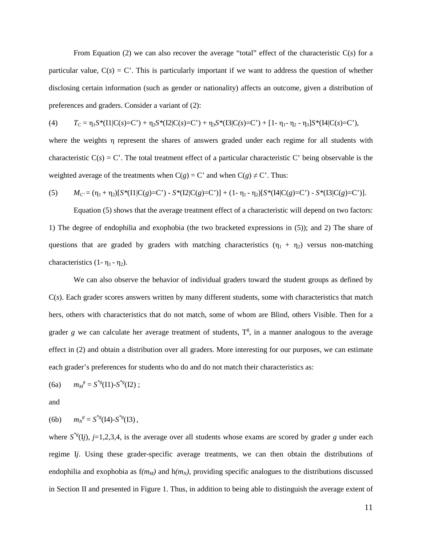From Equation (2) we can also recover the average "total" effect of the characteristic C(*s*) for a particular value,  $C(s) = C'$ . This is particularly important if we want to address the question of whether disclosing certain information (such as gender or nationality) affects an outcome, given a distribution of preferences and graders. Consider a variant of (2):

(4) 
$$
T_C = \eta_1 S^* (11 | C(s) = C^*) + \eta_2 S^* (12 | C(s) = C^*) + \eta_3 S^* (13 | C(s) = C^*) + [1 - \eta_1 - \eta_2 - \eta_3] S^* (14 | C(s) = C^*)
$$

where the weights η represent the shares of answers graded under each regime for all students with characteristic  $C(s) = C'$ . The total treatment effect of a particular characteristic C' being observable is the weighted average of the treatments when  $C(g) = C'$  and when  $C(g) \neq C'$ . Thus:

(5) 
$$
M_C = (\eta_1 + \eta_2)[S^*(11|C(g) = C') - S^*(12|C(g) = C')] + (1 - \eta_1 - \eta_2)[S^*(14|C(g) = C') - S^*(13|C(g) = C')].
$$

Equation (5) shows that the average treatment effect of a characteristic will depend on two factors: 1) The degree of endophilia and exophobia (the two bracketed expressions in (5)); and 2) The share of questions that are graded by graders with matching characteristics  $(\eta_1 + \eta_2)$  versus non-matching characteristics  $(1 - \eta_1 - \eta_2)$ .

We can also observe the behavior of individual graders toward the student groups as defined by  $C(s)$ . Each grader scores answers written by many different students, some with characteristics that match hers, others with characteristics that do not match, some of whom are Blind, others Visible. Then for a grader  $g$  we can calculate her average treatment of students,  $T^g$ , in a manner analogous to the average effect in (2) and obtain a distribution over all graders. More interesting for our purposes, we can estimate each grader's preferences for students who do and do not match their characteristics as:

$$
(6a) \t mMg = S*g(11)-S*g(12);
$$

and

(6b) 
$$
m_N^g = S^{*g}(14) - S^{*g}(13)
$$
,

where  $S^{*g}(Ij)$ ,  $j=1,2,3,4$ , is the average over all students whose exams are scored by grader *g* under each regime I*j*. Using these grader-specific average treatments, we can then obtain the distributions of endophilia and exophobia as  $f(m_M)$  and  $h(m_N)$ , providing specific analogues to the distributions discussed in Section II and presented in Figure 1. Thus, in addition to being able to distinguish the average extent of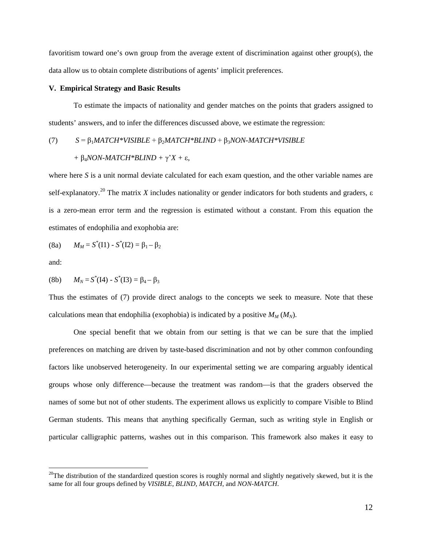favoritism toward one's own group from the average extent of discrimination against other group(s), the data allow us to obtain complete distributions of agents' implicit preferences.

#### **V. Empirical Strategy and Basic Results**

To estimate the impacts of nationality and gender matches on the points that graders assigned to students' answers, and to infer the differences discussed above, we estimate the regression:

(7) 
$$
S = \beta_1 MATCH*VISIBLE + \beta_2 MATCH*BLIND + \beta_3 NON-MATCH*VISIBLE + \beta_4 NON-MATCH*BLIND + \gamma' X + \varepsilon,
$$

where here *S* is a unit normal deviate calculated for each exam question, and the other variable names are self-explanatory.<sup>[20](#page-14-0)</sup> The matrix *X* includes nationality or gender indicators for both students and graders,  $\varepsilon$ is a zero-mean error term and the regression is estimated without a constant. From this equation the estimates of endophilia and exophobia are:

(8a) 
$$
M_M = S^*(I1) - S^*(I2) = \beta_1 - \beta_2
$$

and:

(8b) 
$$
M_N = S^*(14) - S^*(13) = \beta_4 - \beta_3
$$

Thus the estimates of (7) provide direct analogs to the concepts we seek to measure. Note that these calculations mean that endophilia (exophobia) is indicated by a positive  $M_M(M_N)$ .

One special benefit that we obtain from our setting is that we can be sure that the implied preferences on matching are driven by taste-based discrimination and not by other common confounding factors like unobserved heterogeneity. In our experimental setting we are comparing arguably identical groups whose only difference—because the treatment was random—is that the graders observed the names of some but not of other students. The experiment allows us explicitly to compare Visible to Blind German students. This means that anything specifically German, such as writing style in English or particular calligraphic patterns, washes out in this comparison. This framework also makes it easy to

<span id="page-14-0"></span><sup>&</sup>lt;sup>20</sup>The distribution of the standardized question scores is roughly normal and slightly negatively skewed, but it is the same for all four groups defined by *VISIBLE*, *BLIND*, *MATCH*, and *NON-MATCH*.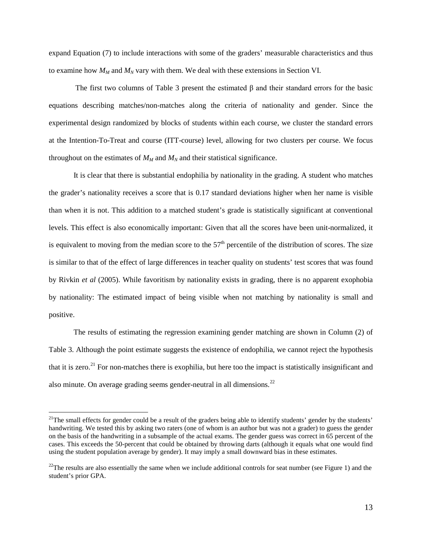expand Equation (7) to include interactions with some of the graders' measurable characteristics and thus to examine how  $M_M$  and  $M_N$  vary with them. We deal with these extensions in Section VI.

The first two columns of Table 3 present the estimated β and their standard errors for the basic equations describing matches/non-matches along the criteria of nationality and gender. Since the experimental design randomized by blocks of students within each course, we cluster the standard errors at the Intention-To-Treat and course (ITT-course) level, allowing for two clusters per course. We focus throughout on the estimates of  $M_M$  and  $M_N$  and their statistical significance.

It is clear that there is substantial endophilia by nationality in the grading. A student who matches the grader's nationality receives a score that is 0.17 standard deviations higher when her name is visible than when it is not. This addition to a matched student's grade is statistically significant at conventional levels. This effect is also economically important: Given that all the scores have been unit-normalized, it is equivalent to moving from the median score to the  $57<sup>th</sup>$  percentile of the distribution of scores. The size is similar to that of the effect of large differences in teacher quality on students' test scores that was found by Rivkin *et al* (2005). While favoritism by nationality exists in grading, there is no apparent exophobia by nationality: The estimated impact of being visible when not matching by nationality is small and positive.

The results of estimating the regression examining gender matching are shown in Column (2) of Table 3. Although the point estimate suggests the existence of endophilia, we cannot reject the hypothesis that it is zero.<sup>[21](#page-15-0)</sup> For non-matches there is exophilia, but here too the impact is statistically insignificant and also minute. On average grading seems gender-neutral in all dimensions.<sup>[22](#page-15-1)</sup>

<span id="page-15-0"></span> $21$ The small effects for gender could be a result of the graders being able to identify students' gender by the students' handwriting. We tested this by asking two raters (one of whom is an author but was not a grader) to guess the gender on the basis of the handwriting in a subsample of the actual exams. The gender guess was correct in 65 percent of the cases. This exceeds the 50-percent that could be obtained by throwing darts (although it equals what one would find using the student population average by gender). It may imply a small downward bias in these estimates.

<span id="page-15-1"></span> $22$ The results are also essentially the same when we include additional controls for seat number (see Figure 1) and the student's prior GPA.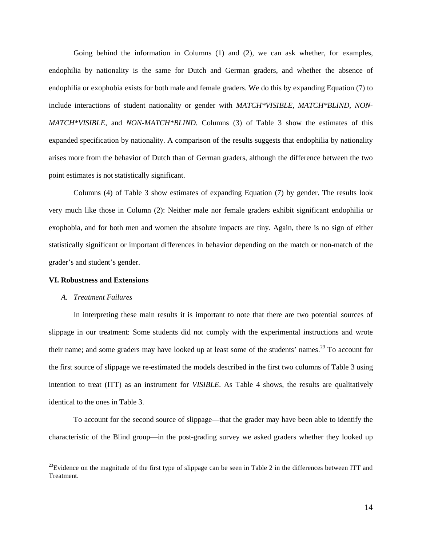Going behind the information in Columns (1) and (2), we can ask whether, for examples, endophilia by nationality is the same for Dutch and German graders, and whether the absence of endophilia or exophobia exists for both male and female graders. We do this by expanding Equation (7) to include interactions of student nationality or gender with *MATCH\*VISIBLE, MATCH\*BLIND, NON-MATCH\*VISIBLE,* and *NON-MATCH\*BLIND.* Columns (3) of Table 3 show the estimates of this expanded specification by nationality. A comparison of the results suggests that endophilia by nationality arises more from the behavior of Dutch than of German graders, although the difference between the two point estimates is not statistically significant.

Columns (4) of Table 3 show estimates of expanding Equation (7) by gender. The results look very much like those in Column (2): Neither male nor female graders exhibit significant endophilia or exophobia, and for both men and women the absolute impacts are tiny. Again, there is no sign of either statistically significant or important differences in behavior depending on the match or non-match of the grader's and student's gender.

#### **VI. Robustness and Extensions**

#### *A. Treatment Failures*

In interpreting these main results it is important to note that there are two potential sources of slippage in our treatment: Some students did not comply with the experimental instructions and wrote their name; and some graders may have looked up at least some of the students' names.<sup>[23](#page-16-0)</sup> To account for the first source of slippage we re-estimated the models described in the first two columns of Table 3 using intention to treat (ITT) as an instrument for *VISIBLE*. As Table 4 shows, the results are qualitatively identical to the ones in Table 3.

To account for the second source of slippage—that the grader may have been able to identify the characteristic of the Blind group—in the post-grading survey we asked graders whether they looked up

<span id="page-16-0"></span> $^{23}$ Evidence on the magnitude of the first type of slippage can be seen in Table 2 in the differences between ITT and Treatment.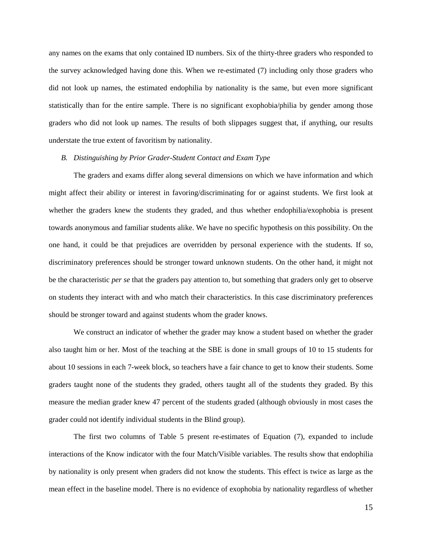any names on the exams that only contained ID numbers. Six of the thirty-three graders who responded to the survey acknowledged having done this. When we re-estimated (7) including only those graders who did not look up names, the estimated endophilia by nationality is the same, but even more significant statistically than for the entire sample. There is no significant exophobia/philia by gender among those graders who did not look up names. The results of both slippages suggest that, if anything, our results understate the true extent of favoritism by nationality.

#### *B. Distinguishing by Prior Grader-Student Contact and Exam Type*

The graders and exams differ along several dimensions on which we have information and which might affect their ability or interest in favoring/discriminating for or against students. We first look at whether the graders knew the students they graded, and thus whether endophilia/exophobia is present towards anonymous and familiar students alike. We have no specific hypothesis on this possibility. On the one hand, it could be that prejudices are overridden by personal experience with the students. If so, discriminatory preferences should be stronger toward unknown students. On the other hand, it might not be the characteristic *per se* that the graders pay attention to, but something that graders only get to observe on students they interact with and who match their characteristics. In this case discriminatory preferences should be stronger toward and against students whom the grader knows.

We construct an indicator of whether the grader may know a student based on whether the grader also taught him or her. Most of the teaching at the SBE is done in small groups of 10 to 15 students for about 10 sessions in each 7-week block, so teachers have a fair chance to get to know their students. Some graders taught none of the students they graded, others taught all of the students they graded. By this measure the median grader knew 47 percent of the students graded (although obviously in most cases the grader could not identify individual students in the Blind group).

The first two columns of Table 5 present re-estimates of Equation (7), expanded to include interactions of the Know indicator with the four Match/Visible variables. The results show that endophilia by nationality is only present when graders did not know the students. This effect is twice as large as the mean effect in the baseline model. There is no evidence of exophobia by nationality regardless of whether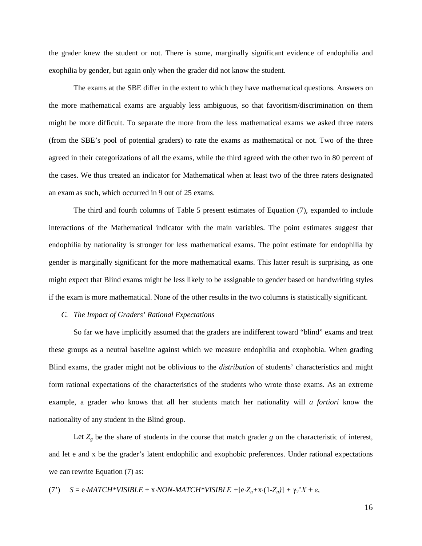the grader knew the student or not. There is some, marginally significant evidence of endophilia and exophilia by gender, but again only when the grader did not know the student.

The exams at the SBE differ in the extent to which they have mathematical questions. Answers on the more mathematical exams are arguably less ambiguous, so that favoritism/discrimination on them might be more difficult. To separate the more from the less mathematical exams we asked three raters (from the SBE's pool of potential graders) to rate the exams as mathematical or not. Two of the three agreed in their categorizations of all the exams, while the third agreed with the other two in 80 percent of the cases. We thus created an indicator for Mathematical when at least two of the three raters designated an exam as such, which occurred in 9 out of 25 exams.

The third and fourth columns of Table 5 present estimates of Equation (7), expanded to include interactions of the Mathematical indicator with the main variables. The point estimates suggest that endophilia by nationality is stronger for less mathematical exams. The point estimate for endophilia by gender is marginally significant for the more mathematical exams. This latter result is surprising, as one might expect that Blind exams might be less likely to be assignable to gender based on handwriting styles if the exam is more mathematical. None of the other results in the two columns is statistically significant.

#### *C. The Impact of Graders' Rational Expectations*

So far we have implicitly assumed that the graders are indifferent toward "blind" exams and treat these groups as a neutral baseline against which we measure endophilia and exophobia. When grading Blind exams, the grader might not be oblivious to the *distribution* of students' characteristics and might form rational expectations of the characteristics of the students who wrote those exams. As an extreme example, a grader who knows that all her students match her nationality will *a fortiori* know the nationality of any student in the Blind group.

Let  $Z_g$  be the share of students in the course that match grader *g* on the characteristic of interest, and let e and x be the grader's latent endophilic and exophobic preferences. Under rational expectations we can rewrite Equation (7) as:

(7') 
$$
S = e \cdot MATCH^*VISIBLE + x \cdot NON-MATCH^*VISIBLE + [e \cdot Z_g + x \cdot (1 - Z_g)] + \gamma_2 \cdot X + \varepsilon,
$$

16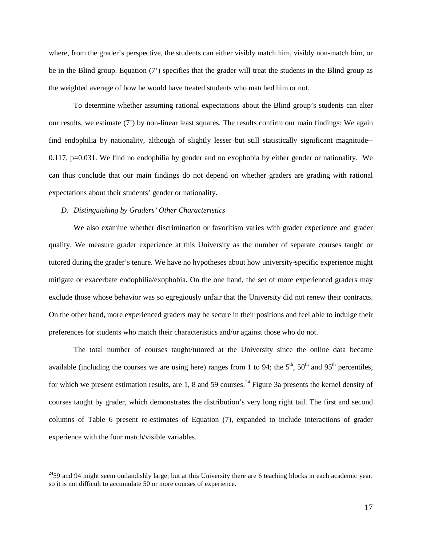where, from the grader's perspective, the students can either visibly match him, visibly non-match him, or be in the Blind group. Equation (7') specifies that the grader will treat the students in the Blind group as the weighted average of how he would have treated students who matched him or not.

To determine whether assuming rational expectations about the Blind group's students can alter our results, we estimate (7') by non-linear least squares. The results confirm our main findings: We again find endophilia by nationality, although of slightly lesser but still statistically significant magnitude-- 0.117, p=0.031. We find no endophilia by gender and no exophobia by either gender or nationality. We can thus conclude that our main findings do not depend on whether graders are grading with rational expectations about their students' gender or nationality.

#### *D. Distinguishing by Graders' Other Characteristics*

We also examine whether discrimination or favoritism varies with grader experience and grader quality. We measure grader experience at this University as the number of separate courses taught or tutored during the grader's tenure. We have no hypotheses about how university-specific experience might mitigate or exacerbate endophilia/exophobia. On the one hand, the set of more experienced graders may exclude those whose behavior was so egregiously unfair that the University did not renew their contracts. On the other hand, more experienced graders may be secure in their positions and feel able to indulge their preferences for students who match their characteristics and/or against those who do not.

The total number of courses taught/tutored at the University since the online data became available (including the courses we are using here) ranges from 1 to 94; the  $5<sup>th</sup>$ ,  $50<sup>th</sup>$  and  $95<sup>th</sup>$  percentiles, for which we present estimation results, are 1, 8 and 59 courses.<sup>[24](#page-19-0)</sup> Figure 3a presents the kernel density of courses taught by grader, which demonstrates the distribution's very long right tail. The first and second columns of Table 6 present re-estimates of Equation (7), expanded to include interactions of grader experience with the four match/visible variables.

<span id="page-19-0"></span> $^{24}$ 59 and 94 might seem outlandishly large; but at this University there are 6 teaching blocks in each academic year, so it is not difficult to accumulate 50 or more courses of experience.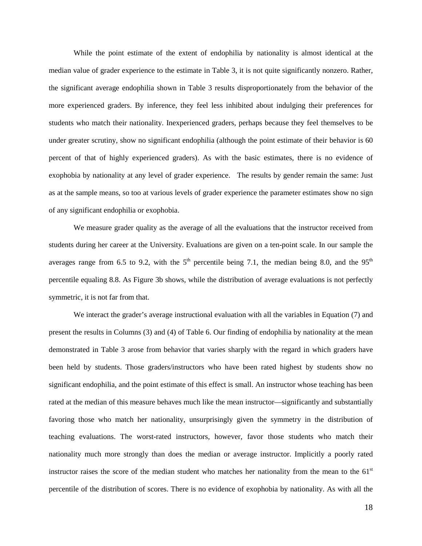While the point estimate of the extent of endophilia by nationality is almost identical at the median value of grader experience to the estimate in Table 3, it is not quite significantly nonzero. Rather, the significant average endophilia shown in Table 3 results disproportionately from the behavior of the more experienced graders. By inference, they feel less inhibited about indulging their preferences for students who match their nationality. Inexperienced graders, perhaps because they feel themselves to be under greater scrutiny, show no significant endophilia (although the point estimate of their behavior is 60 percent of that of highly experienced graders). As with the basic estimates, there is no evidence of exophobia by nationality at any level of grader experience. The results by gender remain the same: Just as at the sample means, so too at various levels of grader experience the parameter estimates show no sign of any significant endophilia or exophobia.

We measure grader quality as the average of all the evaluations that the instructor received from students during her career at the University. Evaluations are given on a ten-point scale. In our sample the averages range from 6.5 to 9.2, with the  $5<sup>th</sup>$  percentile being 7.1, the median being 8.0, and the 95<sup>th</sup> percentile equaling 8.8. As Figure 3b shows, while the distribution of average evaluations is not perfectly symmetric, it is not far from that.

We interact the grader's average instructional evaluation with all the variables in Equation (7) and present the results in Columns (3) and (4) of Table 6. Our finding of endophilia by nationality at the mean demonstrated in Table 3 arose from behavior that varies sharply with the regard in which graders have been held by students. Those graders/instructors who have been rated highest by students show no significant endophilia, and the point estimate of this effect is small. An instructor whose teaching has been rated at the median of this measure behaves much like the mean instructor—significantly and substantially favoring those who match her nationality, unsurprisingly given the symmetry in the distribution of teaching evaluations. The worst-rated instructors, however, favor those students who match their nationality much more strongly than does the median or average instructor. Implicitly a poorly rated instructor raises the score of the median student who matches her nationality from the mean to the  $61<sup>st</sup>$ percentile of the distribution of scores. There is no evidence of exophobia by nationality. As with all the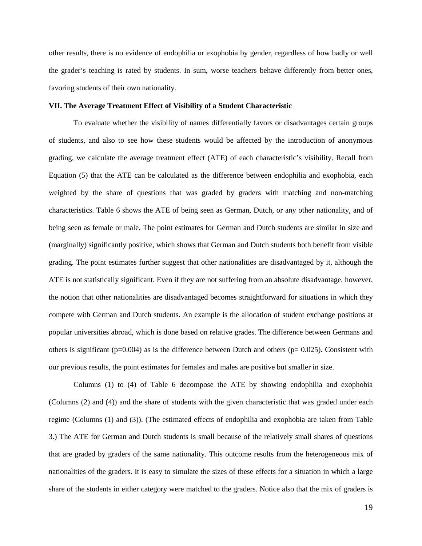other results, there is no evidence of endophilia or exophobia by gender, regardless of how badly or well the grader's teaching is rated by students. In sum, worse teachers behave differently from better ones, favoring students of their own nationality.

#### **VII. The Average Treatment Effect of Visibility of a Student Characteristic**

To evaluate whether the visibility of names differentially favors or disadvantages certain groups of students, and also to see how these students would be affected by the introduction of anonymous grading, we calculate the average treatment effect (ATE) of each characteristic's visibility. Recall from Equation (5) that the ATE can be calculated as the difference between endophilia and exophobia, each weighted by the share of questions that was graded by graders with matching and non-matching characteristics. Table 6 shows the ATE of being seen as German, Dutch, or any other nationality, and of being seen as female or male. The point estimates for German and Dutch students are similar in size and (marginally) significantly positive, which shows that German and Dutch students both benefit from visible grading. The point estimates further suggest that other nationalities are disadvantaged by it, although the ATE is not statistically significant. Even if they are not suffering from an absolute disadvantage, however, the notion that other nationalities are disadvantaged becomes straightforward for situations in which they compete with German and Dutch students. An example is the allocation of student exchange positions at popular universities abroad, which is done based on relative grades. The difference between Germans and others is significant ( $p=0.004$ ) as is the difference between Dutch and others ( $p= 0.025$ ). Consistent with our previous results, the point estimates for females and males are positive but smaller in size.

Columns (1) to (4) of Table 6 decompose the ATE by showing endophilia and exophobia (Columns (2) and (4)) and the share of students with the given characteristic that was graded under each regime (Columns (1) and (3)). (The estimated effects of endophilia and exophobia are taken from Table 3.) The ATE for German and Dutch students is small because of the relatively small shares of questions that are graded by graders of the same nationality. This outcome results from the heterogeneous mix of nationalities of the graders. It is easy to simulate the sizes of these effects for a situation in which a large share of the students in either category were matched to the graders. Notice also that the mix of graders is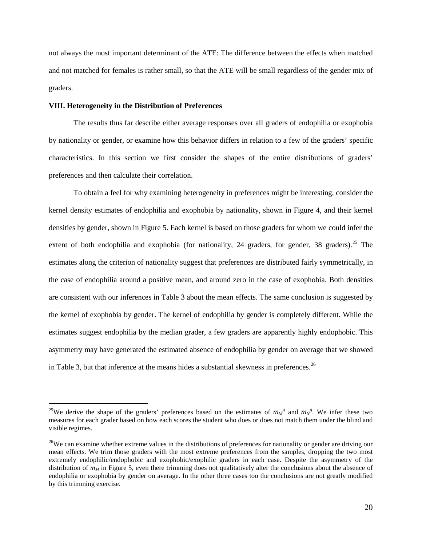not always the most important determinant of the ATE: The difference between the effects when matched and not matched for females is rather small, so that the ATE will be small regardless of the gender mix of graders.

#### **VIII. Heterogeneity in the Distribution of Preferences**

The results thus far describe either average responses over all graders of endophilia or exophobia by nationality or gender, or examine how this behavior differs in relation to a few of the graders' specific characteristics. In this section we first consider the shapes of the entire distributions of graders' preferences and then calculate their correlation.

To obtain a feel for why examining heterogeneity in preferences might be interesting, consider the kernel density estimates of endophilia and exophobia by nationality, shown in Figure 4, and their kernel densities by gender, shown in Figure 5. Each kernel is based on those graders for whom we could infer the extent of both endophilia and exophobia (for nationality, 24 graders, for gender, 38 graders).<sup>[25](#page-22-0)</sup> The estimates along the criterion of nationality suggest that preferences are distributed fairly symmetrically, in the case of endophilia around a positive mean, and around zero in the case of exophobia. Both densities are consistent with our inferences in Table 3 about the mean effects. The same conclusion is suggested by the kernel of exophobia by gender. The kernel of endophilia by gender is completely different. While the estimates suggest endophilia by the median grader, a few graders are apparently highly endophobic. This asymmetry may have generated the estimated absence of endophilia by gender on average that we showed in Table 3, but that inference at the means hides a substantial skewness in preferences.<sup>[26](#page-22-1)</sup>

<span id="page-22-0"></span><sup>&</sup>lt;sup>25</sup>We derive the shape of the graders' preferences based on the estimates of  $m_M^g$  and  $m_N^g$ . We infer these two measures for each grader based on how each scores the student who does or does not match them under the blind and visible regimes.

<span id="page-22-1"></span> $26$ We can examine whether extreme values in the distributions of preferences for nationality or gender are driving our mean effects. We trim those graders with the most extreme preferences from the samples, dropping the two most extremely endophilic/endophobic and exophobic/exophilic graders in each case. Despite the asymmetry of the distribution of  $m<sub>M</sub>$  in Figure 5, even there trimming does not qualitatively alter the conclusions about the absence of endophilia or exophobia by gender on average. In the other three cases too the conclusions are not greatly modified by this trimming exercise.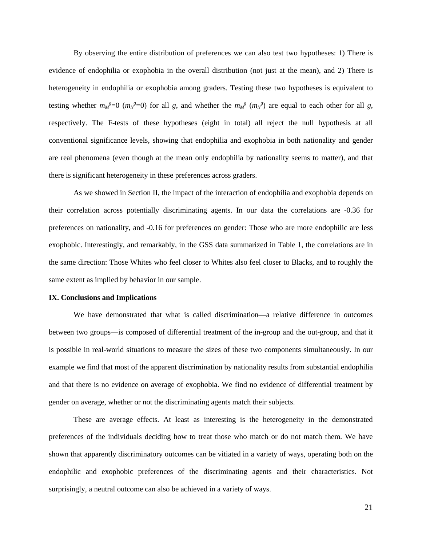By observing the entire distribution of preferences we can also test two hypotheses: 1) There is evidence of endophilia or exophobia in the overall distribution (not just at the mean), and 2) There is heterogeneity in endophilia or exophobia among graders. Testing these two hypotheses is equivalent to testing whether  $m_M^g=0$  ( $m_N^g=0$ ) for all *g*, and whether the  $m_M^g$  ( $m_N^g$ ) are equal to each other for all *g*, respectively. The F-tests of these hypotheses (eight in total) all reject the null hypothesis at all conventional significance levels, showing that endophilia and exophobia in both nationality and gender are real phenomena (even though at the mean only endophilia by nationality seems to matter), and that there is significant heterogeneity in these preferences across graders.

As we showed in Section II, the impact of the interaction of endophilia and exophobia depends on their correlation across potentially discriminating agents. In our data the correlations are -0.36 for preferences on nationality, and -0.16 for preferences on gender: Those who are more endophilic are less exophobic. Interestingly, and remarkably, in the GSS data summarized in Table 1, the correlations are in the same direction: Those Whites who feel closer to Whites also feel closer to Blacks, and to roughly the same extent as implied by behavior in our sample.

#### **IX. Conclusions and Implications**

We have demonstrated that what is called discrimination—a relative difference in outcomes between two groups—is composed of differential treatment of the in-group and the out-group, and that it is possible in real-world situations to measure the sizes of these two components simultaneously. In our example we find that most of the apparent discrimination by nationality results from substantial endophilia and that there is no evidence on average of exophobia. We find no evidence of differential treatment by gender on average, whether or not the discriminating agents match their subjects.

These are average effects. At least as interesting is the heterogeneity in the demonstrated preferences of the individuals deciding how to treat those who match or do not match them. We have shown that apparently discriminatory outcomes can be vitiated in a variety of ways, operating both on the endophilic and exophobic preferences of the discriminating agents and their characteristics. Not surprisingly, a neutral outcome can also be achieved in a variety of ways.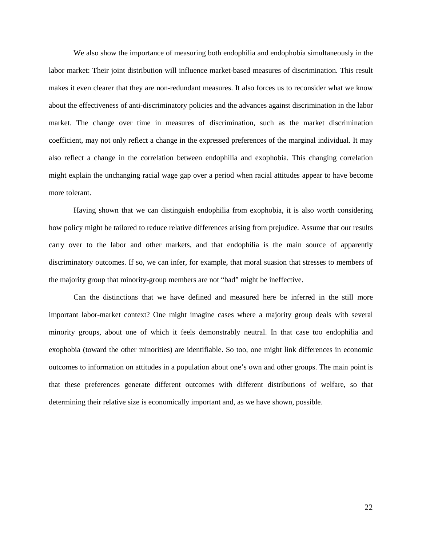We also show the importance of measuring both endophilia and endophobia simultaneously in the labor market: Their joint distribution will influence market-based measures of discrimination. This result makes it even clearer that they are non-redundant measures. It also forces us to reconsider what we know about the effectiveness of anti-discriminatory policies and the advances against discrimination in the labor market. The change over time in measures of discrimination, such as the market discrimination coefficient, may not only reflect a change in the expressed preferences of the marginal individual. It may also reflect a change in the correlation between endophilia and exophobia. This changing correlation might explain the unchanging racial wage gap over a period when racial attitudes appear to have become more tolerant.

Having shown that we can distinguish endophilia from exophobia, it is also worth considering how policy might be tailored to reduce relative differences arising from prejudice. Assume that our results carry over to the labor and other markets, and that endophilia is the main source of apparently discriminatory outcomes. If so, we can infer, for example, that moral suasion that stresses to members of the majority group that minority-group members are not "bad" might be ineffective.

Can the distinctions that we have defined and measured here be inferred in the still more important labor-market context? One might imagine cases where a majority group deals with several minority groups, about one of which it feels demonstrably neutral. In that case too endophilia and exophobia (toward the other minorities) are identifiable. So too, one might link differences in economic outcomes to information on attitudes in a population about one's own and other groups. The main point is that these preferences generate different outcomes with different distributions of welfare, so that determining their relative size is economically important and, as we have shown, possible.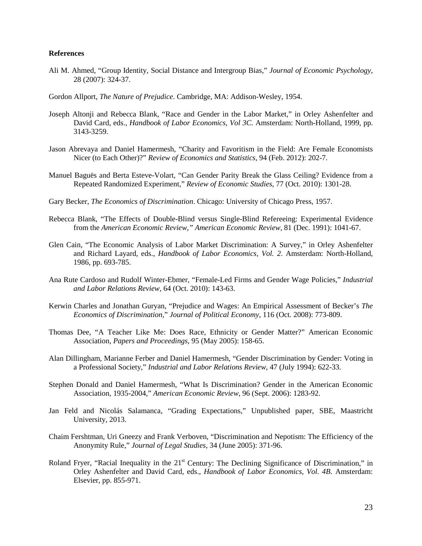#### **References**

- Ali M. Ahmed, "Group Identity, Social Distance and Intergroup Bias," *Journal of Economic Psychology*, 28 (2007): 324-37.
- Gordon Allport, *The Nature of Prejudice*. Cambridge, MA: Addison-Wesley, 1954.
- Joseph Altonji and Rebecca Blank, "Race and Gender in the Labor Market," in Orley Ashenfelter and David Card, eds., *Handbook of Labor Economics, Vol 3C*. Amsterdam: North-Holland, 1999, pp. 3143-3259.
- Jason Abrevaya and Daniel Hamermesh, "Charity and Favoritism in the Field: Are Female Economists Nicer (to Each Other)?" *Review of Economics and Statistics*, 94 (Feb. 2012): 202-7.
- Manuel Baguës and Berta Esteve-Volart, "Can Gender Parity Break the Glass Ceiling? Evidence from a Repeated Randomized Experiment," *Review of Economic Studies*, 77 (Oct. 2010): 1301-28.
- Gary Becker, *The Economics of Discrimination*. Chicago: University of Chicago Press, 1957.
- Rebecca Blank, "The Effects of Double-Blind versus Single-Blind Refereeing: Experimental Evidence from the *American Economic Review," American Economic Review,* 81 (Dec. 1991): 1041-67.
- Glen Cain, "The Economic Analysis of Labor Market Discrimination: A Survey," in Orley Ashenfelter and Richard Layard, eds., *Handbook of Labor Economics, Vol. 2*. Amsterdam: North-Holland, 1986, pp. 693-785.
- Ana Rute Cardoso and Rudolf Winter-Ebmer, "Female-Led Firms and Gender Wage Policies," *Industrial and Labor Relations Review*, 64 (Oct. 2010): 143-63.
- Kerwin Charles and Jonathan Guryan, "Prejudice and Wages: An Empirical Assessment of Becker's *The Economics of Discrimination*," *Journal of Political Economy*, 116 (Oct. 2008): 773-809.
- Thomas Dee, "A Teacher Like Me: Does Race, Ethnicity or Gender Matter?" American Economic Association, *Papers and Proceedings*, 95 (May 2005): 158-65.
- Alan Dillingham, Marianne Ferber and Daniel Hamermesh, "Gender Discrimination by Gender: Voting in a Professional Society," *Industrial and Labor Relations Review*, 47 (July 1994): 622-33.
- Stephen Donald and Daniel Hamermesh, "What Is Discrimination? Gender in the American Economic Association, 1935-2004," *American Economic Review*, 96 (Sept. 2006): 1283-92.
- Jan Feld and Nicolás Salamanca, "Grading Expectations," Unpublished paper, SBE, Maastricht University, 2013.
- Chaim Fershtman, Uri Gneezy and Frank Verboven, "Discrimination and Nepotism: The Efficiency of the Anonymity Rule," *Journal of Legal Studies*, 34 (June 2005): 371-96.
- Roland Fryer, "Racial Inequality in the 21<sup>st</sup> Century: The Declining Significance of Discrimination," in Orley Ashenfelter and David Card, eds., *Handbook of Labor Economics, Vol. 4B*. Amsterdam: Elsevier, pp. 855-971.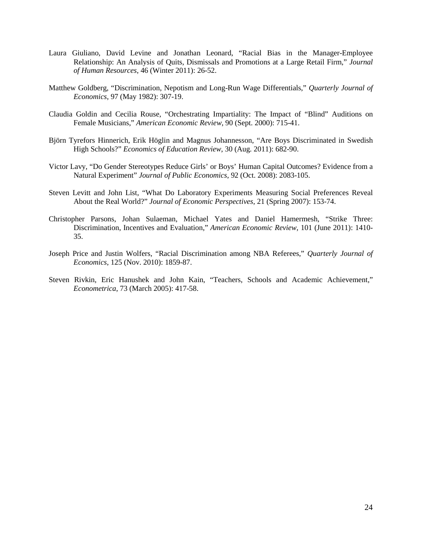- Laura Giuliano, David Levine and Jonathan Leonard, "Racial Bias in the Manager-Employee Relationship: An Analysis of Quits, Dismissals and Promotions at a Large Retail Firm," *Journal of Human Resources*, 46 (Winter 2011): 26-52.
- Matthew Goldberg, "Discrimination, Nepotism and Long-Run Wage Differentials," *Quarterly Journal of Economics*, 97 (May 1982): 307-19.
- Claudia Goldin and Cecilia Rouse, "Orchestrating Impartiality: The Impact of "Blind" Auditions on Female Musicians," *American Economic Review*, 90 (Sept. 2000): 715-41.
- Björn Tyrefors Hinnerich, Erik Höglin and Magnus Johannesson, "Are Boys Discriminated in Swedish High Schools?" *Economics of Education Review*, 30 (Aug. 2011): 682-90.
- Victor Lavy, "Do Gender Stereotypes Reduce Girls' or Boys' Human Capital Outcomes? Evidence from a Natural Experiment" *Journal of Public Economics*, 92 (Oct. 2008): 2083-105.
- Steven Levitt and John List, "What Do Laboratory Experiments Measuring Social Preferences Reveal About the Real World?" *Journal of Economic Perspectives*, 21 (Spring 2007): 153-74.
- Christopher Parsons, Johan Sulaeman, Michael Yates and Daniel Hamermesh, "Strike Three: Discrimination, Incentives and Evaluation," *American Economic Review*, 101 (June 2011): 1410- 35.
- Joseph Price and Justin Wolfers, "Racial Discrimination among NBA Referees," *Quarterly Journal of Economics*, 125 (Nov. 2010): 1859-87.
- Steven Rivkin, Eric Hanushek and John Kain, "Teachers, Schools and Academic Achievement," *Econometrica*, 73 (March 2005): 417-58.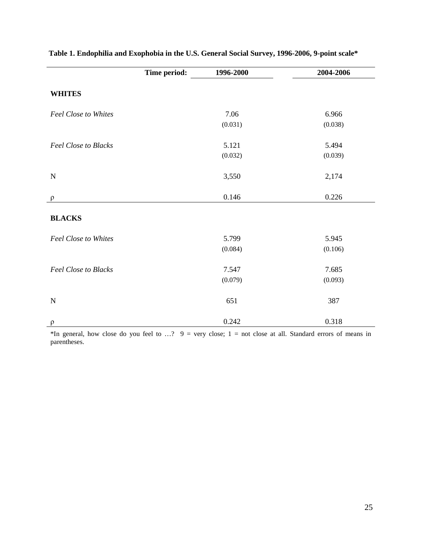|                             | Time period: | 1996-2000 | 2004-2006 |
|-----------------------------|--------------|-----------|-----------|
| <b>WHITES</b>               |              |           |           |
| Feel Close to Whites        |              | 7.06      | 6.966     |
|                             |              | (0.031)   | (0.038)   |
| <b>Feel Close to Blacks</b> |              | 5.121     | 5.494     |
|                             |              | (0.032)   | (0.039)   |
| $\mathbf N$                 |              | 3,550     | 2,174     |
| $\rho$                      |              | 0.146     | 0.226     |
| <b>BLACKS</b>               |              |           |           |
| <b>Feel Close to Whites</b> |              | 5.799     | 5.945     |
|                             |              | (0.084)   | (0.106)   |
| <b>Feel Close to Blacks</b> |              | 7.547     | 7.685     |
|                             |              | (0.079)   | (0.093)   |
| ${\bf N}$                   |              | 651       | 387       |
| $\rho$                      |              | 0.242     | 0.318     |

### **Table 1. Endophilia and Exophobia in the U.S. General Social Survey, 1996-2006, 9-point scale\***

\*In general, how close do you feel to ...?  $9 =$  very close;  $1 =$  not close at all. Standard errors of means in parentheses.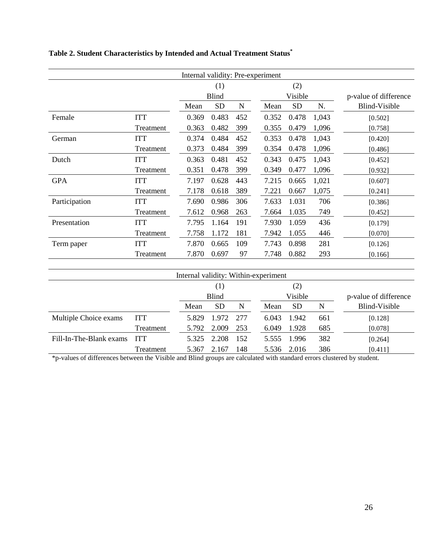| Internal validity: Pre-experiment |            |       |              |     |  |         |           |       |                       |
|-----------------------------------|------------|-------|--------------|-----|--|---------|-----------|-------|-----------------------|
|                                   |            |       | (1)          |     |  | (2)     |           |       |                       |
|                                   |            |       | <b>Blind</b> |     |  | Visible |           |       | p-value of difference |
|                                   |            | Mean  | <b>SD</b>    | N   |  | Mean    | <b>SD</b> | N.    | Blind-Visible         |
| Female                            | <b>ITT</b> | 0.369 | 0.483        | 452 |  | 0.352   | 0.478     | 1,043 | [0.502]               |
|                                   | Treatment  | 0.363 | 0.482        | 399 |  | 0.355   | 0.479     | 1,096 | [0.758]               |
| German                            | <b>ITT</b> | 0.374 | 0.484        | 452 |  | 0.353   | 0.478     | 1,043 | [0.420]               |
|                                   | Treatment  | 0.373 | 0.484        | 399 |  | 0.354   | 0.478     | 1,096 | [0.486]               |
| Dutch                             | <b>ITT</b> | 0.363 | 0.481        | 452 |  | 0.343   | 0.475     | 1,043 | [0.452]               |
|                                   | Treatment  | 0.351 | 0.478        | 399 |  | 0.349   | 0.477     | 1,096 | [0.932]               |
| <b>GPA</b>                        | <b>ITT</b> | 7.197 | 0.628        | 443 |  | 7.215   | 0.665     | 1,021 | [0.607]               |
|                                   | Treatment  | 7.178 | 0.618        | 389 |  | 7.221   | 0.667     | 1,075 | [0.241]               |
| Participation                     | <b>ITT</b> | 7.690 | 0.986        | 306 |  | 7.633   | 1.031     | 706   | [0.386]               |
|                                   | Treatment  | 7.612 | 0.968        | 263 |  | 7.664   | 1.035     | 749   | [0.452]               |
| Presentation                      | <b>ITT</b> | 7.795 | 1.164        | 191 |  | 7.930   | 1.059     | 436   | [0.179]               |
|                                   | Treatment  | 7.758 | 1.172        | 181 |  | 7.942   | 1.055     | 446   | [0.070]               |
| Term paper                        | <b>ITT</b> | 7.870 | 0.665        | 109 |  | 7.743   | 0.898     | 281   | [0.126]               |
|                                   | Treatment  | 7.870 | 0.697        | 97  |  | 7.748   | 0.882     | 293   | [0.166]               |
|                                   |            |       |              |     |  |         |           |       |                       |

# **Table 2. Student Characteristics by Intended and Actual Treatment Status\***

| Internal validity: Within-experiment |            |       |           |         |       |           |                       |               |
|--------------------------------------|------------|-------|-----------|---------|-------|-----------|-----------------------|---------------|
|                                      |            | (1)   |           | (2)     |       |           |                       |               |
|                                      |            | Blind |           | Visible |       |           | p-value of difference |               |
|                                      |            | Mean  | <b>SD</b> | N       | Mean  | <b>SD</b> | N                     | Blind-Visible |
| Multiple Choice exams                | <b>ITT</b> | 5.829 | 1.972     | 277     | 6.043 | 1.942     | 661                   | [0.128]       |
|                                      | Treatment  | 5.792 | 2.009     | 253     | 6.049 | 1.928     | 685                   | [0.078]       |
| Fill-In-The-Blank exams              | <b>ITT</b> | 5.325 | 2.208     | 152     | 5.555 | 1.996     | 382                   | [0.264]       |
|                                      | Treatment  | 5.367 | 2.167     | 148     | 5.536 | 2.016     | 386                   | [0.411]       |

\*p-values of differences between the Visible and Blind groups are calculated with standard errors clustered by student.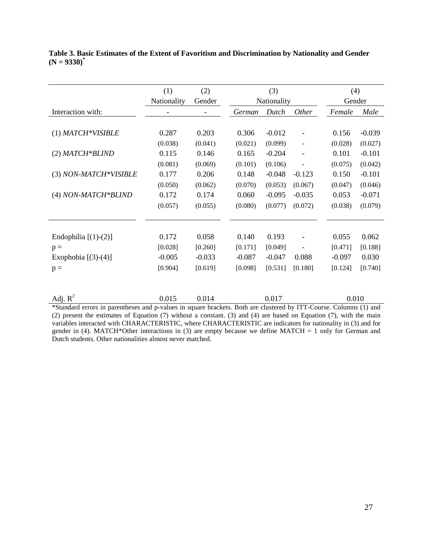|                        | (1)            | (2)      | (3)      |             |                   | (4)      |          |  |
|------------------------|----------------|----------|----------|-------------|-------------------|----------|----------|--|
|                        | Nationality    | Gender   |          | Nationality |                   |          | Gender   |  |
| Interaction with:      | $\overline{a}$ |          | German   | Dutch       | <i>Other</i>      | Female   | Male     |  |
|                        |                |          |          |             |                   |          |          |  |
| $(1)$ MATCH*VISIBLE    | 0.287          | 0.203    | 0.306    | $-0.012$    | $\overline{a}$    | 0.156    | $-0.039$ |  |
|                        | (0.038)        | (0.041)  | (0.021)  | (0.099)     | $\overline{a}$    | (0.028)  | (0.027)  |  |
| $(2)$ MATCH*BLIND      | 0.115          | 0.146    | 0.165    | $-0.204$    | $\qquad \qquad -$ | 0.101    | $-0.101$ |  |
|                        | (0.081)        | (0.069)  | (0.101)  | (0.106)     |                   | (0.075)  | (0.042)  |  |
| (3) NON-MATCH*VISIBLE  | 0.177          | 0.206    | 0.148    | $-0.048$    | $-0.123$          | 0.150    | $-0.101$ |  |
|                        | (0.050)        | (0.062)  | (0.070)  | (0.053)     | (0.067)           | (0.047)  | (0.046)  |  |
| (4) NON-MATCH*BLIND    | 0.172          | 0.174    | 0.060    | $-0.095$    | $-0.035$          | 0.053    | $-0.071$ |  |
|                        | (0.057)        | (0.055)  | (0.080)  | (0.077)     | (0.072)           | (0.038)  | (0.079)  |  |
|                        |                |          |          |             |                   |          |          |  |
|                        |                |          |          |             |                   |          |          |  |
| Endophilia $[(1)-(2)]$ | 0.172          | 0.058    | 0.140    | 0.193       |                   | 0.055    | 0.062    |  |
| $p =$                  | [0.028]        | [0.260]  | [0.171]  | [0.049]     | ÷                 | [0.471]  | [0.188]  |  |
| Exophobia $[(3)-(4)]$  | $-0.005$       | $-0.033$ | $-0.087$ | $-0.047$    | 0.088             | $-0.097$ | 0.030    |  |
| $p =$                  | [0.904]        | [0.619]  | [0.098]  | [0.531]     | [0.180]           | [0.124]  | [0.740]  |  |
|                        |                |          |          |             |                   |          |          |  |

**Table 3. Basic Estimates of the Extent of Favoritism and Discrimination by Nationality and Gender (N = 9330)\***

| Adj. $R^2$                                                                                                         | 0.015 | 0.014 | 0.017 | 0.010 |
|--------------------------------------------------------------------------------------------------------------------|-------|-------|-------|-------|
| *Standard errors in parentheses and p-values in square brackets. Both are clustered by ITT-Course. Columns (1) and |       |       |       |       |
| (2) procent the estimates of Equation (7) without a constant (3) and (4) are besed on Equation (7) with the main   |       |       |       |       |

(2) present the estimates of Equation (7) without a constant. (3) and (4) are based on Equation (7), with the main variables interacted with CHARACTERISTIC, where CHARACTERISTIC are indicators for nationality in (3) and for gender in (4). MATCH\*Other interactions in (3) are empty because we define MATCH = 1 only for German and Dutch students. Other nationalities almost never matched.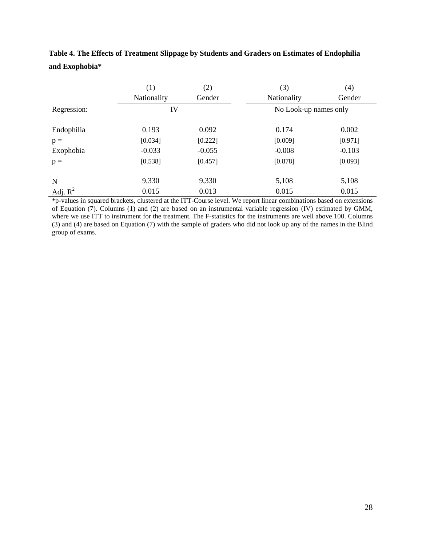|             | (1)         | (2)      | (3)                   | (4)      |
|-------------|-------------|----------|-----------------------|----------|
|             | Nationality | Gender   | Nationality           | Gender   |
| Regression: | IV          |          | No Look-up names only |          |
| Endophilia  | 0.193       | 0.092    | 0.174                 | 0.002    |
| $p =$       | [0.034]     | [0.222]  | [0.009]               | [0.971]  |
| Exophobia   | $-0.033$    | $-0.055$ | $-0.008$              | $-0.103$ |
| $p =$       | [0.538]     | [0.457]  | [0.878]               | [0.093]  |
| N           | 9,330       | 9,330    | 5,108                 | 5,108    |
| Adj. $R^2$  | 0.015       | 0.013    | 0.015                 | 0.015    |

**Table 4. The Effects of Treatment Slippage by Students and Graders on Estimates of Endophilia and Exophobia\***

\*p-values in squared brackets, clustered at the ITT-Course level. We report linear combinations based on extensions of Equation (7). Columns (1) and (2) are based on an instrumental variable regression (IV) estimated by GMM, where we use ITT to instrument for the treatment. The F-statistics for the instruments are well above 100. Columns (3) and (4) are based on Equation (7) with the sample of graders who did not look up any of the names in the Blind group of exams.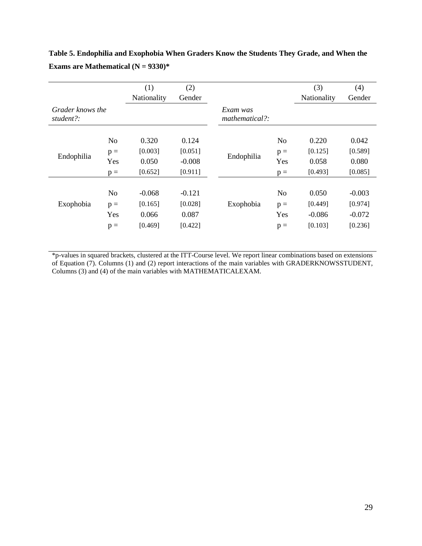|                               |                | (1)         | (2)      |                            |                | (3)         | (4)      |
|-------------------------------|----------------|-------------|----------|----------------------------|----------------|-------------|----------|
|                               |                | Nationality | Gender   |                            |                | Nationality | Gender   |
| Grader knows the<br>student?: |                |             |          | Exam was<br>mathematical?: |                |             |          |
|                               | N <sub>o</sub> | 0.320       | 0.124    |                            | N <sub>o</sub> | 0.220       | 0.042    |
| Endophilia                    | $p =$          | [0.003]     | [0.051]  | Endophilia                 | $p =$          | [0.125]     | [0.589]  |
|                               | Yes            | 0.050       | $-0.008$ |                            | Yes            | 0.058       | 0.080    |
|                               | $p =$          | [0.652]     | [0.911]  |                            | $p =$          | [0.493]     | [0.085]  |
|                               |                |             |          |                            |                |             |          |
|                               | N <sub>o</sub> | $-0.068$    | $-0.121$ |                            | N <sub>o</sub> | 0.050       | $-0.003$ |
| Exophobia                     | $p =$          | [0.165]     | [0.028]  | Exophobia                  | $p =$          | [0.449]     | [0.974]  |
|                               | Yes            | 0.066       | 0.087    |                            | Yes            | $-0.086$    | $-0.072$ |
|                               | $p =$          | [0.469]     | [0.422]  |                            | $p =$          | [0.103]     | [0.236]  |

**Table 5. Endophilia and Exophobia When Graders Know the Students They Grade, and When the Exams are Mathematical (N = 9330)\***

\*p-values in squared brackets, clustered at the ITT-Course level. We report linear combinations based on extensions of Equation (7). Columns (1) and (2) report interactions of the main variables with GRADERKNOWSSTUDENT, Columns (3) and (4) of the main variables with MATHEMATICALEXAM.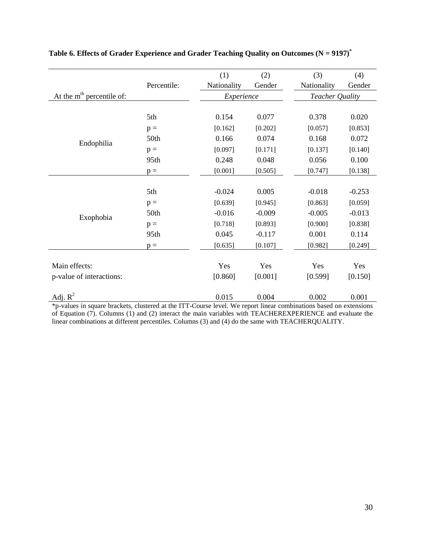|                             |             | (1)         | (2)      | (3)                    | (4)      |
|-----------------------------|-------------|-------------|----------|------------------------|----------|
|                             | Percentile: | Nationality | Gender   | Nationality            | Gender   |
| At the $mth$ percentile of: |             | Experience  |          | <b>Teacher Quality</b> |          |
|                             |             |             |          |                        |          |
|                             | 5th         | 0.154       | 0.077    | 0.378                  | 0.020    |
|                             | $p =$       | [0.162]     | [0.202]  | [0.057]                | [0.853]  |
| Endophilia                  | 50th        | 0.166       | 0.074    | 0.168                  | 0.072    |
|                             | $p =$       | [0.097]     | [0.171]  | [0.137]                | [0.140]  |
|                             | 95th        | 0.248       | 0.048    | 0.056                  | 0.100    |
|                             | $p =$       | [0.001]     | [0.505]  | [0.747]                | [0.138]  |
|                             |             |             |          |                        |          |
|                             | 5th         | $-0.024$    | 0.005    | $-0.018$               | $-0.253$ |
|                             | $p =$       | [0.639]     | [0.945]  | [0.863]                | [0.059]  |
| Exophobia                   | 50th        | $-0.016$    | $-0.009$ | $-0.005$               | $-0.013$ |
|                             | $p =$       | [0.718]     | [0.893]  | [0.900]                | [0.838]  |
|                             | 95th        | 0.045       | $-0.117$ | 0.001                  | 0.114    |
|                             | $p =$       | [0.635]     | [0.107]  | [0.982]                | [0.249]  |
|                             |             |             |          |                        |          |
| Main effects:               |             | Yes         | Yes      | Yes                    | Yes      |
| p-value of interactions:    |             | [0.860]     | [0.001]  | [0.599]                | [0.150]  |
|                             |             |             |          |                        |          |
| Adj. $R^2$                  |             | 0.015       | 0.004    | 0.002                  | 0.001    |

### **Table 6. Effects of Grader Experience and Grader Teaching Quality on Outcomes (N = 9197)\***

\*p-values in square brackets, clustered at the ITT-Course level. We report linear combinations based on extensions of Equation (7). Columns (1) and (2) interact the main variables with TEACHEREXPERIENCE and evaluate the linear combinations at different percentiles. Columns (3) and (4) do the same with TEACHERQUALITY.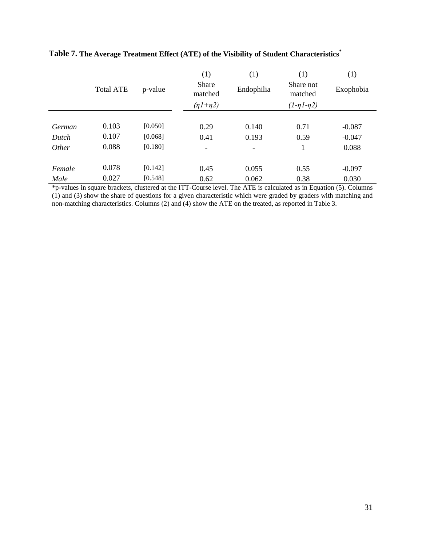|        | <b>Total ATE</b> | p-value | (1)<br><b>Share</b><br>matched | (1)<br>Endophilia | (1)<br>Share not<br>matched | (1)<br>Exophobia |
|--------|------------------|---------|--------------------------------|-------------------|-----------------------------|------------------|
|        |                  |         | $(nl + n2)$                    |                   | $(1 - \eta 1 - \eta 2)$     |                  |
| German | 0.103            | [0.050] | 0.29                           | 0.140             | 0.71                        | $-0.087$         |
| Dutch  | 0.107            | [0.068] | 0.41                           | 0.193             | 0.59                        | $-0.047$         |
| Other  | 0.088            | [0.180] | -                              | -                 |                             | 0.088            |
|        |                  |         |                                |                   |                             |                  |
| Female | 0.078            | [0.142] | 0.45                           | 0.055             | 0.55                        | $-0.097$         |
| Male   | 0.027            | [0.548] | 0.62                           | 0.062             | 0.38                        | 0.030            |

### **Table 7. The Average Treatment Effect (ATE) of the Visibility of Student Characteristics \***

\*p-values in square brackets, clustered at the ITT-Course level. The ATE is calculated as in Equation (5). Columns (1) and (3) show the share of questions for a given characteristic which were graded by graders with matching and non-matching characteristics. Columns (2) and (4) show the ATE on the treated, as reported in Table 3.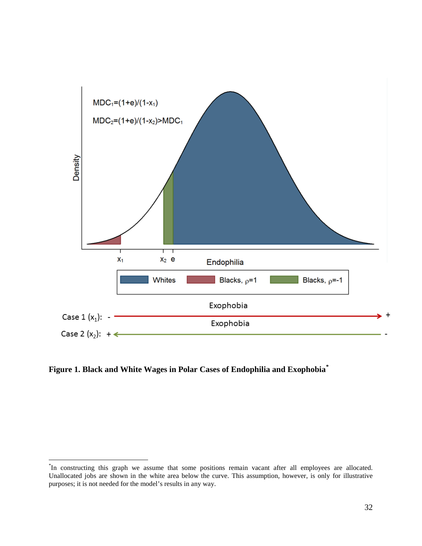

**Figure 1. Black and White Wages in Polar Cases of Endophilia and Exophobia[\\*](#page-34-0)**

<span id="page-34-0"></span> <sup>\*</sup> <sup>\*</sup>In constructing this graph we assume that some positions remain vacant after all employees are allocated. Unallocated jobs are shown in the white area below the curve. This assumption, however, is only for illustrative purposes; it is not needed for the model's results in any way.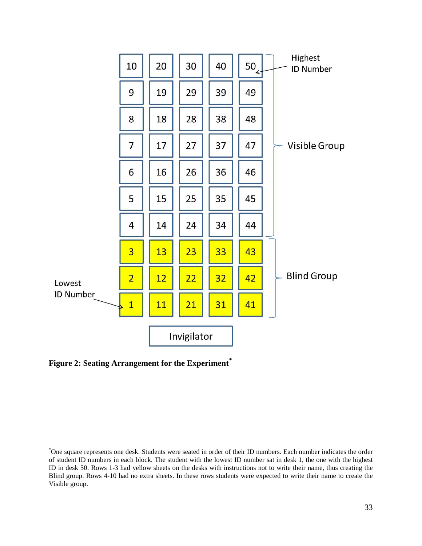

**Figure 2: Seating Arrangement for the Experiment[\\*](#page-35-0)**

<span id="page-35-0"></span> <sup>\*</sup> One square represents one desk. Students were seated in order of their ID numbers. Each number indicates the order of student ID numbers in each block. The student with the lowest ID number sat in desk 1, the one with the highest ID in desk 50. Rows 1-3 had yellow sheets on the desks with instructions not to write their name, thus creating the Blind group. Rows 4-10 had no extra sheets. In these rows students were expected to write their name to create the Visible group.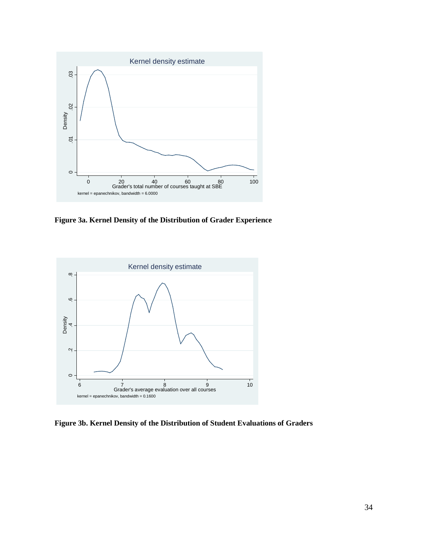

**Figure 3a. Kernel Density of the Distribution of Grader Experience**



**Figure 3b. Kernel Density of the Distribution of Student Evaluations of Graders**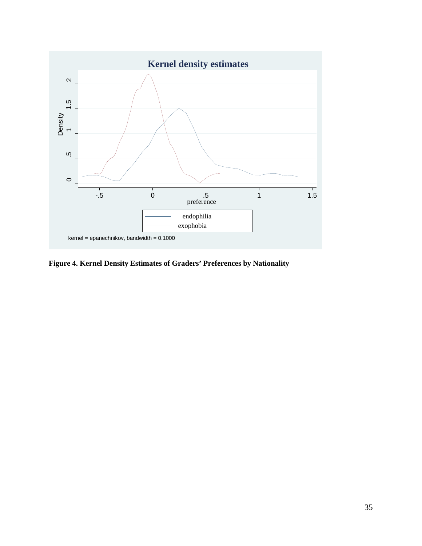

**Figure 4. Kernel Density Estimates of Graders' Preferences by Nationality**